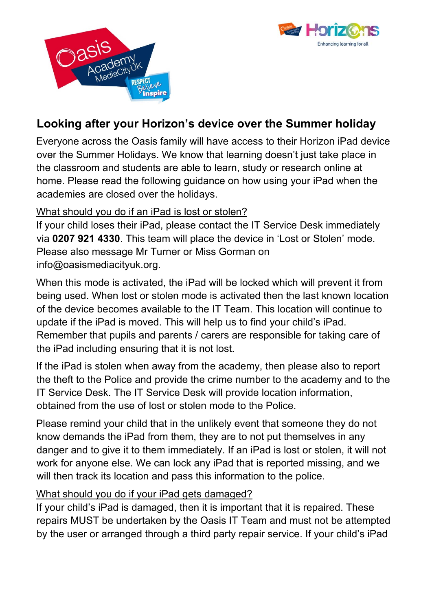



# **Looking after your Horizon's device over the Summer holiday**

Everyone across the Oasis family will have access to their Horizon iPad device over the Summer Holidays. We know that learning doesn't just take place in the classroom and students are able to learn, study or research online at home. Please read the following guidance on how using your iPad when the academies are closed over the holidays.

# What should you do if an iPad is lost or stolen?

If your child loses their iPad, please contact the IT Service Desk immediately via **0207 921 4330**. This team will place the device in 'Lost or Stolen' mode. Please also message Mr Turner or Miss Gorman on info@oasismediacityuk.org.

When this mode is activated, the iPad will be locked which will prevent it from being used. When lost or stolen mode is activated then the last known location of the device becomes available to the IT Team. This location will continue to update if the iPad is moved. This will help us to find your child's iPad. Remember that pupils and parents / carers are responsible for taking care of the iPad including ensuring that it is not lost.

If the iPad is stolen when away from the academy, then please also to report the theft to the Police and provide the crime number to the academy and to the IT Service Desk. The IT Service Desk will provide location information, obtained from the use of lost or stolen mode to the Police.

Please remind your child that in the unlikely event that someone they do not know demands the iPad from them, they are to not put themselves in any danger and to give it to them immediately. If an iPad is lost or stolen, it will not work for anyone else. We can lock any iPad that is reported missing, and we will then track its location and pass this information to the police.

## What should you do if your iPad gets damaged?

If your child's iPad is damaged, then it is important that it is repaired. These repairs MUST be undertaken by the Oasis IT Team and must not be attempted by the user or arranged through a third party repair service. If your child's iPad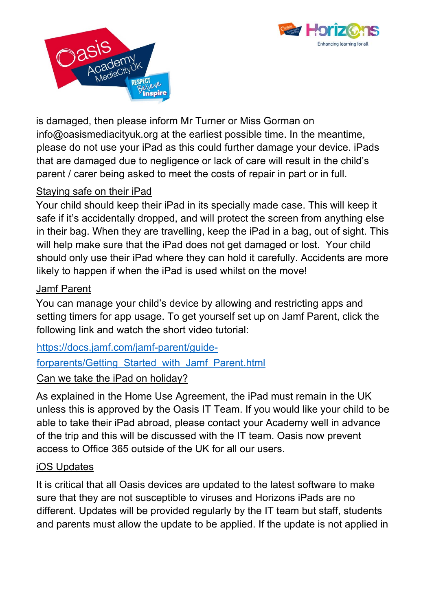



is damaged, then please inform Mr Turner or Miss Gorman on info@oasismediacityuk.org at the earliest possible time. In the meantime, please do not use your iPad as this could further damage your device. iPads that are damaged due to negligence or lack of care will result in the child's parent / carer being asked to meet the costs of repair in part or in full.

## Staying safe on their iPad

Your child should keep their iPad in its specially made case. This will keep it safe if it's accidentally dropped, and will protect the screen from anything else in their bag. When they are travelling, keep the iPad in a bag, out of sight. This will help make sure that the iPad does not get damaged or lost. Your child should only use their iPad where they can hold it carefully. Accidents are more likely to happen if when the iPad is used whilst on the move!

## Jamf Parent

You can manage your child's device by allowing and restricting apps and setting timers for app usage. To get yourself set up on Jamf Parent, click the following link and watch the short video tutorial:

https://docs.jamf.com/jamf-parent/guide-

forparents/Getting\_Started\_with\_Jamf\_Parent.html

Can we take the iPad on holiday?

As explained in the Home Use Agreement, the iPad must remain in the UK unless this is approved by the Oasis IT Team. If you would like your child to be able to take their iPad abroad, please contact your Academy well in advance of the trip and this will be discussed with the IT team. Oasis now prevent access to Office 365 outside of the UK for all our users.

#### iOS Updates

It is critical that all Oasis devices are updated to the latest software to make sure that they are not susceptible to viruses and Horizons iPads are no different. Updates will be provided regularly by the IT team but staff, students and parents must allow the update to be applied. If the update is not applied in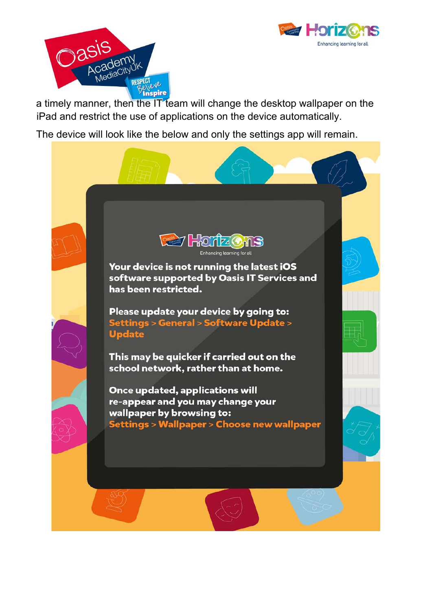



a timely manner, then the IT team will change the desktop wallpaper on the iPad and restrict the use of applications on the device automatically.

The device will look like the below and only the settings app will remain.